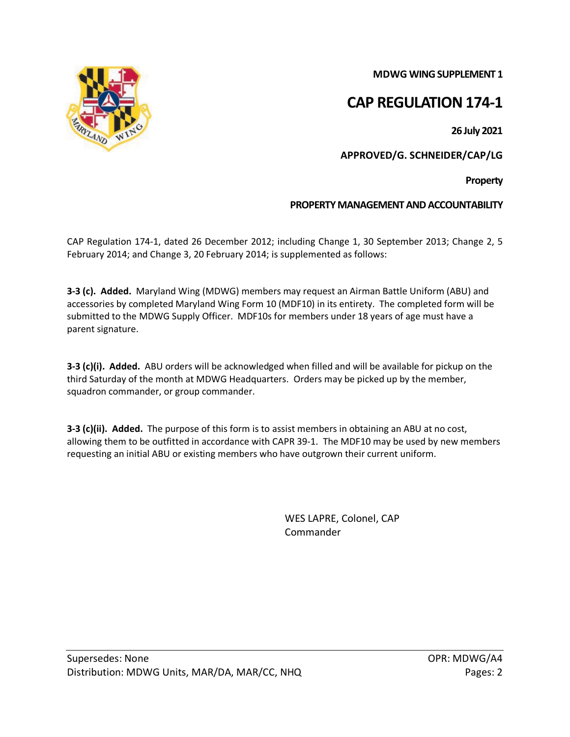**MDWG WING SUPPLEMENT 1**

## **CAP REGULATION 174-1**

**26 July 2021**

**APPROVED/G. SCHNEIDER/CAP/LG**

**Property**

## **PROPERTY MANAGEMENT AND ACCOUNTABILITY**

CAP Regulation 174-1, dated 26 December 2012; including Change 1, 30 September 2013; Change 2, 5 February 2014; and Change 3, 20 February 2014; is supplemented as follows:

**3-3 (c). Added.** Maryland Wing (MDWG) members may request an Airman Battle Uniform (ABU) and accessories by completed Maryland Wing Form 10 (MDF10) in its entirety. The completed form will be submitted to the MDWG Supply Officer. MDF10s for members under 18 years of age must have a parent signature.

**3-3 (c)(i). Added.** ABU orders will be acknowledged when filled and will be available for pickup on the third Saturday of the month at MDWG Headquarters. Orders may be picked up by the member, squadron commander, or group commander.

**3-3 (c)(ii). Added.** The purpose of this form is to assist members in obtaining an ABU at no cost, allowing them to be outfitted in accordance with CAPR 39-1. The MDF10 may be used by new members requesting an initial ABU or existing members who have outgrown their current uniform.

> WES LAPRE, Colonel, CAP Commander